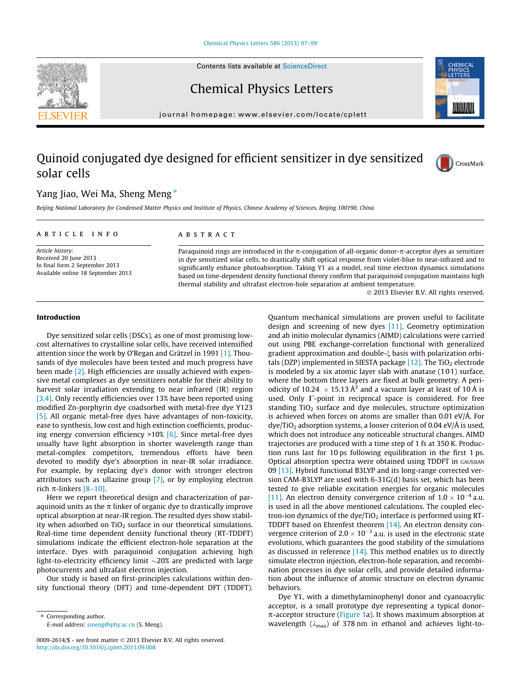### [Chemical Physics Letters 586 \(2013\) 97–99](http://dx.doi.org/10.1016/j.cplett.2013.09.008)

Contents lists available at [ScienceDirect](http://www.sciencedirect.com/science/journal/00092614)

Chemical Physics Letters

journal homepage: [www.elsevier.com/locate/cplett](http://www.elsevier.com/locate/cplett)

# Quinoid conjugated dye designed for efficient sensitizer in dye sensitized solar cells



Beijing National Laboratory for Condensed Matter Physics and Institute of Physics, Chinese Academy of Sciences, Beijing 100190, China

#### article info

Article history: Received 20 June 2013 In final form 2 September 2013 Available online 18 September 2013

## **ABSTRACT**

Paraquinoid rings are introduced in the  $\pi$ -conjugation of all-organic donor- $\pi$ -acceptor dyes as sensitizer in dye sensitized solar cells, to drastically shift optical response from violet-blue to near-infrared and to significantly enhance photoabsorption. Taking Y1 as a model, real time electron dynamics simulations based on time-dependent density functional theory confirm that paraquinoid conjugation maintains high thermal stability and ultrafast electron-hole separation at ambient temperature.

- 2013 Elsevier B.V. All rights reserved.

# Introduction

Dye sensitized solar cells (DSCs), as one of most promising lowcost alternatives to crystalline solar cells, have received intensified attention since the work by O'Regan and Grätzel in 1991 [\[1\]](#page-2-0). Thousands of dye molecules have been tested and much progress have been made [\[2\].](#page-2-0) High efficiencies are usually achieved with expensive metal complexes as dye sensitizers notable for their ability to harvest solar irradiation extending to near infrared (IR) region [\[3,4\].](#page-2-0) Only recently efficiencies over 13% have been reported using modified Zn-porphyrin dye coadsorbed with metal-free dye Y123 [\[5\]](#page-2-0). All organic metal-free dyes have advantages of non-toxicity, ease to synthesis, low cost and high extinction coefficients, producing energy conversion efficiency >10% [\[6\].](#page-2-0) Since metal-free dyes usually have light absorption in shorter wavelength range than metal-complex competitors, tremendous efforts have been devoted to modify dye's absorption in near-IR solar irradiance. For example, by replacing dye's donor with stronger electron attributors such as ullazine group [\[7\]](#page-2-0), or by employing electron rich  $\pi$ -linkers [\[8–10\].](#page-2-0)

Here we report theoretical design and characterization of paraquinoid units as the  $\pi$  linker of organic dye to drastically improve optical absorption at near-IR region. The resulted dyes show stability when adsorbed on  $TiO<sub>2</sub>$  surface in our theoretical simulations. Real-time time dependent density functional theory (RT-TDDFT) simulations indicate the efficient electron-hole separation at the interface. Dyes with paraquinoid conjugation achieving high light-to-electricity efficiency limit  ${\sim}20\%$  are predicted with large photocurrents and ultrafast electron injection.

Our study is based on first-principles calculations within density functional theory (DFT) and time-dependent DFT (TDDFT).

\* Corresponding author.

E-mail address: [smeng@iphy.ac.cn](mailto:smeng@iphy.ac.cn) (S. Meng).

Quantum mechanical simulations are proven useful to facilitate design and screening of new dyes [\[11\].](#page-2-0) Geometry optimization and ab initio molecular dynamics (AIMD) calculations were carried out using PBE exchange-correlation functional with generalized gradient approximation and double- $\xi$  basis with polarization orbitals (DZP) implemented in SIESTA package  $[12]$ . The TiO<sub>2</sub> electrode is modeled by a six atomic layer slab with anatase (1 0 1) surface, where the bottom three layers are fixed at bulk geometry. A periodicity of 10.24  $\times$  15.13 Å<sup>2</sup> and a vacuum layer at least of 10 Å is used. Only  $\Gamma$ -point in reciprocal space is considered. For free standing  $TiO<sub>2</sub>$  surface and dye molecules, structure optimization is achieved when forces on atoms are smaller than  $0.01 \text{ eV}/\text{\AA}$ . For  $\frac{dye}{TiO_2}$  adsorption systems, a looser criterion of 0.04 eV/Å is used, which does not introduce any noticeable structural changes. AIMD trajectories are produced with a time step of 1 fs at 350 K. Production runs last for 10 ps following equilibration in the first 1 ps. Optical absorption spectra were obtained using TDDFT in GAUSSIAN 09 [\[13\].](#page-2-0) Hybrid functional B3LYP and its long-range corrected version CAM-B3LYP are used with 6-31G(d) basis set, which has been tested to give reliable excitation energies for organic molecules [\[11\]](#page-2-0). An electron density convergence criterion of  $1.0 \times 10^{-4}$  a.u. is used in all the above mentioned calculations. The coupled electron-ion dynamics of the dye/TiO<sub>2</sub> interface is performed using RT-TDDFT based on Ehrenfest theorem [\[14\]](#page-2-0). An electron density convergence criterion of  $2.0 \times 10^{-3}$  a.u. is used in the electronic state evolutions, which guarantees the good stability of the simulations as discussed in reference  $[14]$ . This method enables us to directly simulate electron injection, electron-hole separation, and recombination processes in dye solar cells, and provide detailed information about the influence of atomic structure on electron dynamic behaviors.

Dye Y1, with a dimethylaminophenyl donor and cyanoacrylic acceptor, is a small prototype dye representing a typical donor- $\pi$ -acceptor structure ([Figure 1](#page-1-0)a). It shows maximum absorption at wavelength ( $\lambda_{\text{max}}$ ) of 378 nm in ethanol and achieves light-to-





 $CrossMark$ 

<sup>0009-2614/\$ -</sup> see front matter © 2013 Elsevier B.V. All rights reserved. <http://dx.doi.org/10.1016/j.cplett.2013.09.008>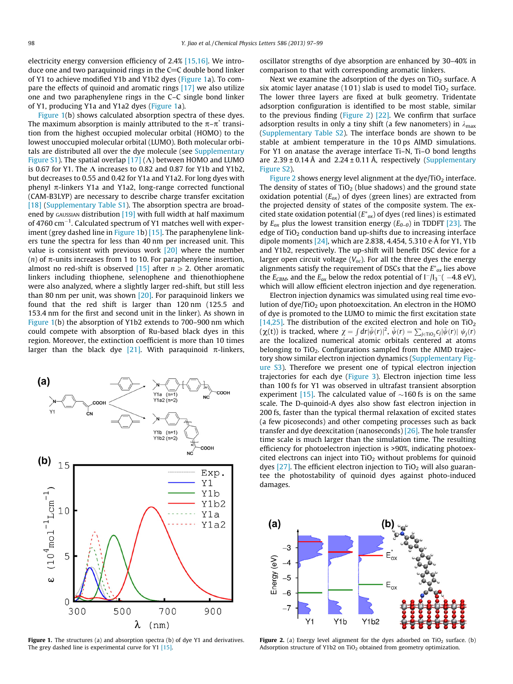<span id="page-1-0"></span>electricity energy conversion efficiency of 2.4% [\[15,16\].](#page-2-0) We introduce one and two paraquinoid rings in the  $C=C$  double bond linker of Y1 to achieve modified Y1b and Y1b2 dyes (Figure 1a). To compare the effects of quinoid and aromatic rings [\[17\]](#page-2-0) we also utilize one and two paraphenylene rings in the C–C single bond linker of Y1, producing Y1a and Y1a2 dyes (Figure 1a).

Figure 1(b) shows calculated absorption spectra of these dyes. The maximum absorption is mainly attributed to the  $\pi-\pi^*$  transition from the highest occupied molecular orbital (HOMO) to the lowest unoccupied molecular orbital (LUMO). Both molecular orbitals are distributed all over the dye molecule (see Supplementary Figure S1). The spatial overlap  $[17] (\Lambda)$  $[17] (\Lambda)$  between HOMO and LUMO is 0.67 for Y1. The  $\Lambda$  increases to 0.82 and 0.87 for Y1b and Y1b2, but decreases to 0.55 and 0.42 for Y1a and Y1a2. For long dyes with phenyl  $\pi$ -linkers Y1a and Y1a2, long-range corrected functional (CAM-B3LYP) are necessary to describe charge transfer excitation [\[18\]](#page-2-0) (Supplementary Table S1). The absorption spectra are broad-ened by GAUSSIAN distribution [\[19\]](#page-2-0) with full width at half maximum of 4760  $\rm cm^{-1}$ . Calculated spectrum of Y1 matches well with exper-iment (grey dashed line in Figure 1b) [\[15\]](#page-2-0). The paraphenylene linkers tune the spectra for less than 40 nm per increased unit. This value is consistent with previous work [\[20\]](#page-2-0) where the number (n) of  $\pi$ -units increases from 1 to 10. For paraphenylene insertion, almost no red-shift is observed [\[15\]](#page-2-0) after  $n \ge 2$ . Other aromatic linkers including thiophene, selenophene and thienothiophene were also analyzed, where a slightly larger red-shift, but still less than 80 nm per unit, was shown  $[20]$ . For paraquinoid linkers we found that the red shift is larger than 120 nm (125.5 and 153.4 nm for the first and second unit in the linker). As shown in Figure 1(b) the absorption of Y1b2 extends to 700–900 nm which could compete with absorption of Ru-based black dyes in this region. Moreover, the extinction coefficient is more than 10 times larger than the black dye [\[21\]](#page-2-0). With paraquinoid  $\pi$ -linkers,



Figure 1. The structures (a) and absorption spectra (b) of dye Y1 and derivatives. The grey dashed line is experimental curve for Y1 [\[15\].](#page-2-0)

oscillator strengths of dye absorption are enhanced by 30–40% in comparison to that with corresponding aromatic linkers.

Next we examine the adsorption of the dyes on  $TiO<sub>2</sub>$  surface. A six atomic layer anatase  $(101)$  slab is used to model TiO<sub>2</sub> surface. The lower three layers are fixed at bulk geometry. Tridentate adsorption configuration is identified to be most stable, similar to the previous finding (Figure 2) [\[22\]](#page-2-0). We confirm that surface adsorption results in only a tiny shift (a few nanometers) in  $\lambda_{\text{max}}$ (Supplementary Table S2). The interface bonds are shown to be stable at ambient temperature in the 10 ps AIMD simulations. For Y1 on anatase the average interface Ti–N, Ti–O bond lengths are  $2.39 \pm 0.14$  Å and  $2.24 \pm 0.11$  Å, respectively (Supplementary Figure S2).

Figure 2 shows energy level alignment at the dye/TiO<sub>2</sub> interface. The density of states of  $TiO<sub>2</sub>$  (blue shadows) and the ground state oxidation potential  $(E_{ox})$  of dyes (green lines) are extracted from the projected density of states of the composite system. The excited state oxidation potential ( $E^*_{\text{ox}}$ ) of dyes (red lines) is estimated by  $E_{ox}$  plus the lowest transition energy ( $E_{0-0}$ ) in TDDFT [\[23\]](#page-2-0). The edge of  $TiO<sub>2</sub>$  conduction band up-shifts due to increasing interface dipole moments [\[24\],](#page-2-0) which are 2.838, 4.454, 5.310 eÅ for Y1, Y1b and Y1b2, respectively. The up-shift will benefit DSC device for a larger open circuit voltage  $(V_{oc})$ . For all the three dyes the energy alignments satisfy the requirement of DSCs that the  $E^*_{\text{ox}}$  lies above the  $E_{CBM}$ , and the  $E_{ox}$  below the redox potential of  $I^-/I_3^ -4.8$  eV), which will allow efficient electron injection and dye regeneration.

Electron injection dynamics was simulated using real time evolution of dye/TiO<sub>2</sub> upon photoexcitation. An electron in the HOMO of dye is promoted to the LUMO to mimic the first excitation state [\[14,25\].](#page-2-0) The distribution of the excited electron and hole on  $TiO<sub>2</sub>$  $(\chi(t))$  is tracked, where  $\chi = \int dr |\tilde{\psi}(r)|^2$ ,  $\tilde{\psi}(r) = \sum_{j \in \text{TiO}_2} c_j |\tilde{\psi}(r)| \psi_j(r)$ are the localized numerical atomic orbitals centered at atoms belonging to TiO<sub>2</sub>. Configurations sampled from the AIMD trajectory show similar electron injection dynamics (Supplementary Figure S3). Therefore we present one of typical electron injection trajectories for each dye ([Figure 3\)](#page-2-0). Electron injection time less than 100 fs for Y1 was observed in ultrafast transient absorption experiment [\[15\]](#page-2-0). The calculated value of  $\sim$ 160 fs is on the same scale. The D-quinoid-A dyes also show fast electron injection in 200 fs, faster than the typical thermal relaxation of excited states (a few picoseconds) and other competing processes such as back transfer and dye deexcitation (nanoseconds) [\[26\]](#page-2-0). The hole transfer time scale is much larger than the simulation time. The resulting efficiency for photoelectron injection is >90%, indicating photoexcited electrons can inject into  $TiO<sub>2</sub>$  without problems for quinoid dyes  $[27]$ . The efficient electron injection to TiO<sub>2</sub> will also guarantee the photostability of quinoid dyes against photo-induced damages.



Figure 2. (a) Energy level alignment for the dyes adsorbed on  $TiO<sub>2</sub>$  surface. (b) Adsorption structure of Y1b2 on TiO<sub>2</sub> obtained from geometry optimization.